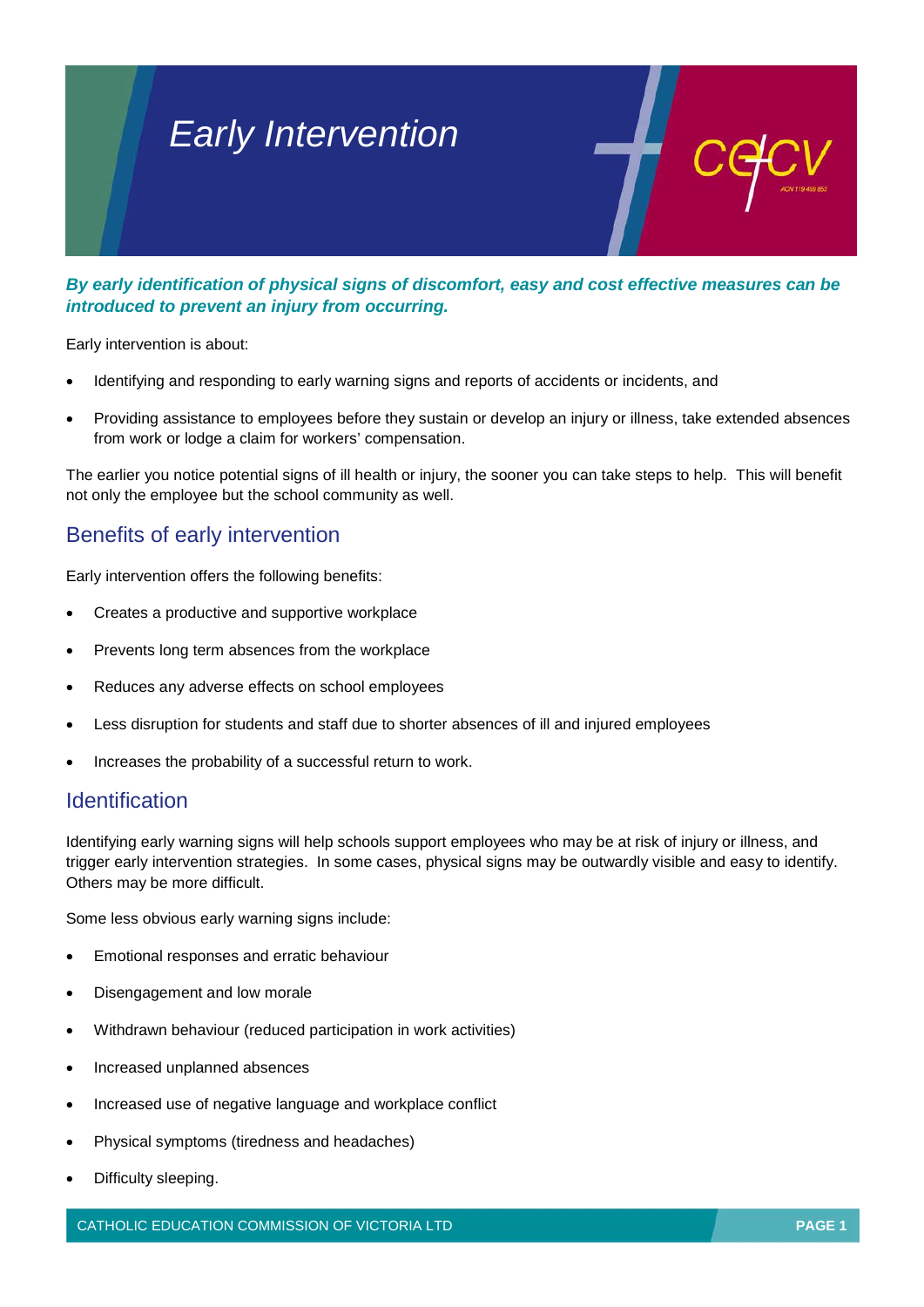# *Early Intervention*

*By early identification of physical signs of discomfort, easy and cost effective measures can be introduced to prevent an injury from occurring.*

Early intervention is about:

- Identifying and responding to early warning signs and reports of accidents or incidents, and
- Providing assistance to employees before they sustain or develop an injury or illness, take extended absences from work or lodge a claim for workers' compensation.

The earlier you notice potential signs of ill health or injury, the sooner you can take steps to help. This will benefit not only the employee but the school community as well.

# Benefits of early intervention

Early intervention offers the following benefits:

- Creates a productive and supportive workplace
- Prevents long term absences from the workplace
- Reduces any adverse effects on school employees
- Less disruption for students and staff due to shorter absences of ill and injured employees
- Increases the probability of a successful return to work.

## **Identification**

Identifying early warning signs will help schools support employees who may be at risk of injury or illness, and trigger early intervention strategies. In some cases, physical signs may be outwardly visible and easy to identify. Others may be more difficult.

Some less obvious early warning signs include:

- Emotional responses and erratic behaviour
- Disengagement and low morale
- Withdrawn behaviour (reduced participation in work activities)
- Increased unplanned absences
- Increased use of negative language and workplace conflict
- Physical symptoms (tiredness and headaches)
- Difficulty sleeping.